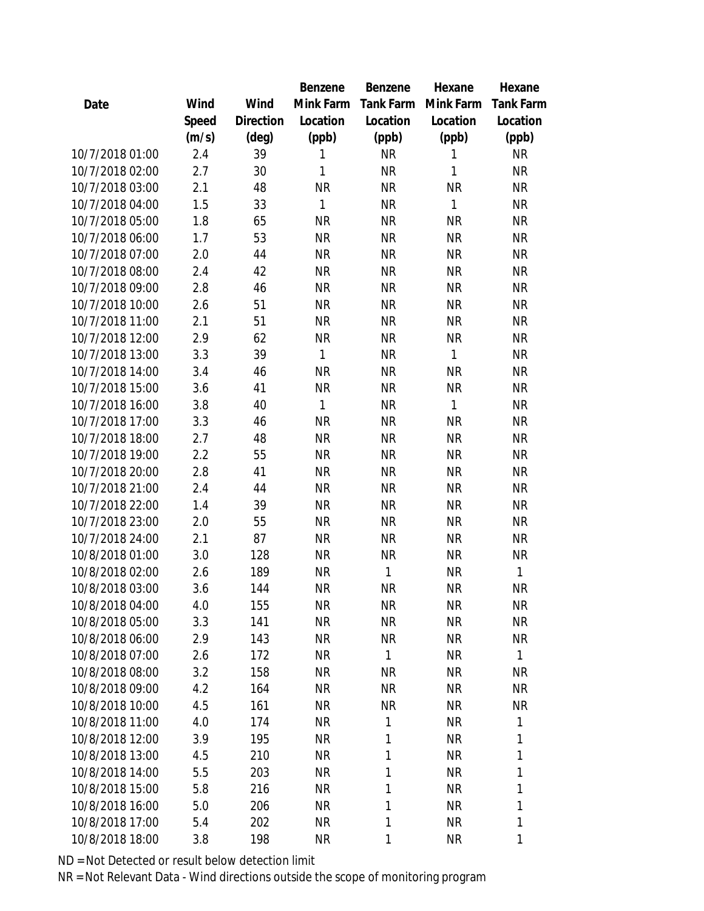|                 |       |                | Benzene      | Benzene   | Hexane       | Hexane       |
|-----------------|-------|----------------|--------------|-----------|--------------|--------------|
| Date            | Wind  | Wind           | Mink Farm    | Tank Farm | Mink Farm    | Tank Farm    |
|                 | Speed | Direction      | Location     | Location  | Location     | Location     |
|                 | (m/s) | $(\text{deg})$ | (ppb)        | (ppb)     | (ppb)        | (ppb)        |
| 10/7/2018 01:00 | 2.4   | 39             | 1            | <b>NR</b> | 1            | <b>NR</b>    |
| 10/7/2018 02:00 | 2.7   | 30             | 1            | <b>NR</b> | 1            | <b>NR</b>    |
| 10/7/2018 03:00 | 2.1   | 48             | <b>NR</b>    | <b>NR</b> | <b>NR</b>    | <b>NR</b>    |
| 10/7/2018 04:00 | 1.5   | 33             | 1            | <b>NR</b> | 1            | <b>NR</b>    |
| 10/7/2018 05:00 | 1.8   | 65             | <b>NR</b>    | <b>NR</b> | <b>NR</b>    | <b>NR</b>    |
| 10/7/2018 06:00 | 1.7   | 53             | <b>NR</b>    | <b>NR</b> | <b>NR</b>    | <b>NR</b>    |
| 10/7/2018 07:00 | 2.0   | 44             | <b>NR</b>    | <b>NR</b> | <b>NR</b>    | <b>NR</b>    |
| 10/7/2018 08:00 | 2.4   | 42             | <b>NR</b>    | <b>NR</b> | <b>NR</b>    | <b>NR</b>    |
| 10/7/2018 09:00 | 2.8   | 46             | <b>NR</b>    | <b>NR</b> | <b>NR</b>    | <b>NR</b>    |
| 10/7/2018 10:00 | 2.6   | 51             | <b>NR</b>    | <b>NR</b> | <b>NR</b>    | <b>NR</b>    |
| 10/7/2018 11:00 | 2.1   | 51             | <b>NR</b>    | <b>NR</b> | <b>NR</b>    | <b>NR</b>    |
| 10/7/2018 12:00 | 2.9   | 62             | <b>NR</b>    | <b>NR</b> | <b>NR</b>    | <b>NR</b>    |
| 10/7/2018 13:00 | 3.3   | 39             | 1            | <b>NR</b> | 1            | <b>NR</b>    |
| 10/7/2018 14:00 | 3.4   | 46             | <b>NR</b>    | <b>NR</b> | <b>NR</b>    | <b>NR</b>    |
| 10/7/2018 15:00 | 3.6   | 41             | <b>NR</b>    | <b>NR</b> | <b>NR</b>    | <b>NR</b>    |
| 10/7/2018 16:00 | 3.8   | 40             | $\mathbf{1}$ | <b>NR</b> | $\mathbf{1}$ | <b>NR</b>    |
| 10/7/2018 17:00 | 3.3   | 46             | <b>NR</b>    | <b>NR</b> | <b>NR</b>    | <b>NR</b>    |
| 10/7/2018 18:00 | 2.7   | 48             | <b>NR</b>    | <b>NR</b> | <b>NR</b>    | <b>NR</b>    |
| 10/7/2018 19:00 | 2.2   | 55             | <b>NR</b>    | <b>NR</b> | <b>NR</b>    | <b>NR</b>    |
| 10/7/2018 20:00 | 2.8   | 41             | <b>NR</b>    | <b>NR</b> | <b>NR</b>    | <b>NR</b>    |
| 10/7/2018 21:00 | 2.4   | 44             | <b>NR</b>    | <b>NR</b> | <b>NR</b>    | <b>NR</b>    |
| 10/7/2018 22:00 | 1.4   | 39             | <b>NR</b>    | <b>NR</b> | <b>NR</b>    | <b>NR</b>    |
| 10/7/2018 23:00 | 2.0   | 55             | <b>NR</b>    | <b>NR</b> | <b>NR</b>    | <b>NR</b>    |
| 10/7/2018 24:00 | 2.1   | 87             | <b>NR</b>    | <b>NR</b> | <b>NR</b>    | <b>NR</b>    |
| 10/8/2018 01:00 | 3.0   | 128            | <b>NR</b>    | <b>NR</b> | <b>NR</b>    | <b>NR</b>    |
| 10/8/2018 02:00 | 2.6   | 189            | <b>NR</b>    | 1         | <b>NR</b>    | $\mathbf{1}$ |
| 10/8/2018 03:00 | 3.6   | 144            | <b>NR</b>    | <b>NR</b> | <b>NR</b>    | <b>NR</b>    |
| 10/8/2018 04:00 | 4.0   | 155            | <b>NR</b>    | NR        | <b>NR</b>    | NR           |
| 10/8/2018 05:00 | 3.3   | 141            | <b>NR</b>    | <b>NR</b> | <b>NR</b>    | <b>NR</b>    |
| 10/8/2018 06:00 | 2.9   | 143            | <b>NR</b>    | <b>NR</b> | <b>NR</b>    | <b>NR</b>    |
| 10/8/2018 07:00 | 2.6   | 172            | <b>NR</b>    | 1         | <b>NR</b>    | $\mathbf{1}$ |
| 10/8/2018 08:00 | 3.2   | 158            | <b>NR</b>    | <b>NR</b> | <b>NR</b>    | <b>NR</b>    |
| 10/8/2018 09:00 | 4.2   | 164            | <b>NR</b>    | <b>NR</b> | <b>NR</b>    | <b>NR</b>    |
| 10/8/2018 10:00 | 4.5   | 161            | <b>NR</b>    | <b>NR</b> | <b>NR</b>    | <b>NR</b>    |
| 10/8/2018 11:00 | 4.0   | 174            | NR.          | 1         | <b>NR</b>    | 1            |
| 10/8/2018 12:00 | 3.9   | 195            | <b>NR</b>    | 1         | <b>NR</b>    | 1            |
| 10/8/2018 13:00 | 4.5   | 210            | <b>NR</b>    | 1         | <b>NR</b>    | 1            |
| 10/8/2018 14:00 | 5.5   | 203            | <b>NR</b>    | 1         | <b>NR</b>    | 1            |
| 10/8/2018 15:00 | 5.8   | 216            | <b>NR</b>    | 1         | <b>NR</b>    | 1            |
| 10/8/2018 16:00 | 5.0   | 206            | <b>NR</b>    | 1         | <b>NR</b>    | 1            |
| 10/8/2018 17:00 | 5.4   | 202            | <b>NR</b>    | 1         | <b>NR</b>    | 1            |
| 10/8/2018 18:00 | 3.8   | 198            | <b>NR</b>    | 1         | <b>NR</b>    | 1            |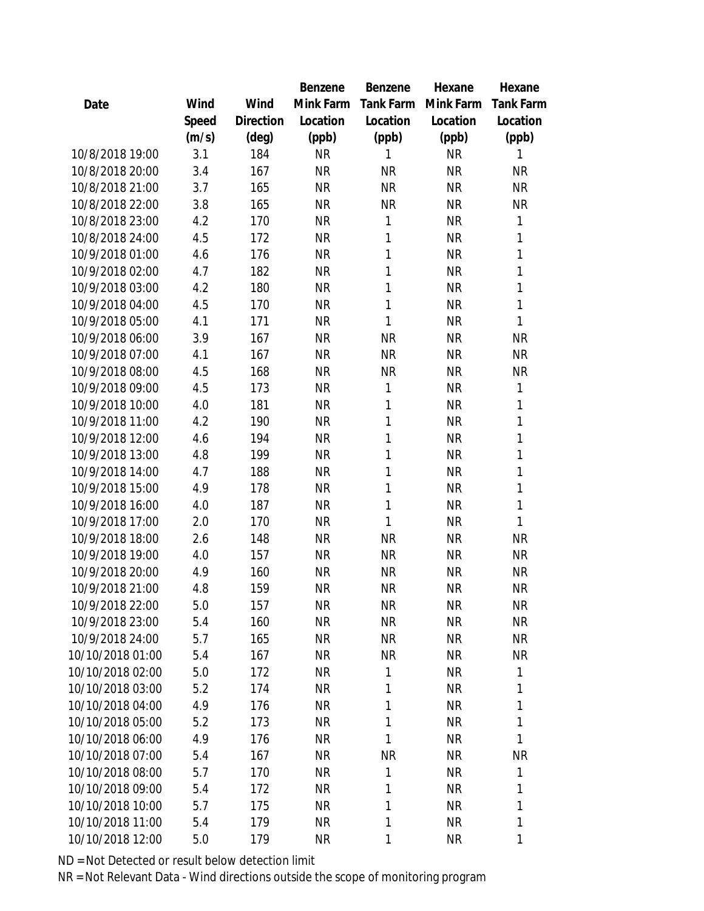|                  |       |           | Benzene   | Benzene   | Hexane    | Hexane       |
|------------------|-------|-----------|-----------|-----------|-----------|--------------|
| Date             | Wind  | Wind      | Mink Farm | Tank Farm | Mink Farm | Tank Farm    |
|                  | Speed | Direction | Location  | Location  | Location  | Location     |
|                  | (m/s) | (deg)     | (ppb)     | (ppb)     | (ppb)     | (ppb)        |
| 10/8/2018 19:00  | 3.1   | 184       | <b>NR</b> | 1         | <b>NR</b> | 1            |
| 10/8/2018 20:00  | 3.4   | 167       | <b>NR</b> | <b>NR</b> | <b>NR</b> | <b>NR</b>    |
| 10/8/2018 21:00  | 3.7   | 165       | <b>NR</b> | <b>NR</b> | <b>NR</b> | <b>NR</b>    |
| 10/8/2018 22:00  | 3.8   | 165       | <b>NR</b> | <b>NR</b> | <b>NR</b> | <b>NR</b>    |
| 10/8/2018 23:00  | 4.2   | 170       | <b>NR</b> | 1         | <b>NR</b> | $\mathbf{1}$ |
| 10/8/2018 24:00  | 4.5   | 172       | <b>NR</b> | 1         | <b>NR</b> | 1            |
| 10/9/2018 01:00  | 4.6   | 176       | <b>NR</b> | 1         | <b>NR</b> | 1            |
| 10/9/2018 02:00  | 4.7   | 182       | <b>NR</b> | 1         | <b>NR</b> | 1            |
| 10/9/2018 03:00  | 4.2   | 180       | <b>NR</b> | 1         | <b>NR</b> | 1            |
| 10/9/2018 04:00  | 4.5   | 170       | <b>NR</b> | 1         | <b>NR</b> | 1            |
| 10/9/2018 05:00  | 4.1   | 171       | <b>NR</b> | 1         | <b>NR</b> | 1            |
| 10/9/2018 06:00  | 3.9   | 167       | <b>NR</b> | <b>NR</b> | <b>NR</b> | <b>NR</b>    |
| 10/9/2018 07:00  | 4.1   | 167       | <b>NR</b> | <b>NR</b> | <b>NR</b> | <b>NR</b>    |
| 10/9/2018 08:00  | 4.5   | 168       | <b>NR</b> | <b>NR</b> | <b>NR</b> | <b>NR</b>    |
| 10/9/2018 09:00  | 4.5   | 173       | <b>NR</b> | 1         | <b>NR</b> | 1            |
| 10/9/2018 10:00  | 4.0   | 181       | <b>NR</b> | 1         | <b>NR</b> | 1            |
| 10/9/2018 11:00  | 4.2   | 190       | <b>NR</b> | 1         | <b>NR</b> | 1            |
| 10/9/2018 12:00  | 4.6   | 194       | <b>NR</b> | 1         | <b>NR</b> | 1            |
| 10/9/2018 13:00  | 4.8   | 199       | <b>NR</b> | 1         | <b>NR</b> | 1            |
| 10/9/2018 14:00  | 4.7   | 188       | <b>NR</b> | 1         | <b>NR</b> | 1            |
| 10/9/2018 15:00  | 4.9   | 178       | <b>NR</b> | 1         | <b>NR</b> | 1            |
| 10/9/2018 16:00  | 4.0   | 187       | <b>NR</b> | 1         | <b>NR</b> | 1            |
| 10/9/2018 17:00  | 2.0   | 170       | <b>NR</b> | 1         | <b>NR</b> | 1            |
| 10/9/2018 18:00  | 2.6   | 148       | <b>NR</b> | <b>NR</b> | <b>NR</b> | <b>NR</b>    |
| 10/9/2018 19:00  | 4.0   | 157       | <b>NR</b> | <b>NR</b> | <b>NR</b> | <b>NR</b>    |
| 10/9/2018 20:00  | 4.9   | 160       | <b>NR</b> | <b>NR</b> | <b>NR</b> | <b>NR</b>    |
| 10/9/2018 21:00  | 4.8   | 159       | <b>NR</b> | <b>NR</b> | <b>NR</b> | <b>NR</b>    |
| 10/9/2018 22:00  | 5.0   | 157       | <b>NR</b> | <b>NR</b> | NR        | NR           |
| 10/9/2018 23:00  | 5.4   | 160       | <b>NR</b> | <b>NR</b> | <b>NR</b> | <b>NR</b>    |
| 10/9/2018 24:00  | 5.7   | 165       | <b>NR</b> | <b>NR</b> | <b>NR</b> | <b>NR</b>    |
| 10/10/2018 01:00 | 5.4   | 167       | <b>NR</b> | <b>NR</b> | <b>NR</b> | <b>NR</b>    |
| 10/10/2018 02:00 | 5.0   | 172       | <b>NR</b> | 1         | <b>NR</b> | 1            |
| 10/10/2018 03:00 | 5.2   | 174       | <b>NR</b> | 1         | <b>NR</b> | 1            |
| 10/10/2018 04:00 | 4.9   | 176       | <b>NR</b> | 1         | <b>NR</b> | 1            |
| 10/10/2018 05:00 | 5.2   | 173       | <b>NR</b> | 1         | <b>NR</b> | 1            |
| 10/10/2018 06:00 | 4.9   | 176       | <b>NR</b> | 1         | <b>NR</b> | 1            |
| 10/10/2018 07:00 | 5.4   | 167       | <b>NR</b> | <b>NR</b> | <b>NR</b> | <b>NR</b>    |
| 10/10/2018 08:00 | 5.7   | 170       | <b>NR</b> | 1         | <b>NR</b> | 1            |
| 10/10/2018 09:00 | 5.4   | 172       | <b>NR</b> | 1         | <b>NR</b> | 1            |
| 10/10/2018 10:00 | 5.7   | 175       | <b>NR</b> | 1         | NR        | 1            |
| 10/10/2018 11:00 | 5.4   | 179       | <b>NR</b> | 1         | <b>NR</b> | 1            |
| 10/10/2018 12:00 | 5.0   | 179       | <b>NR</b> | 1         | <b>NR</b> | 1            |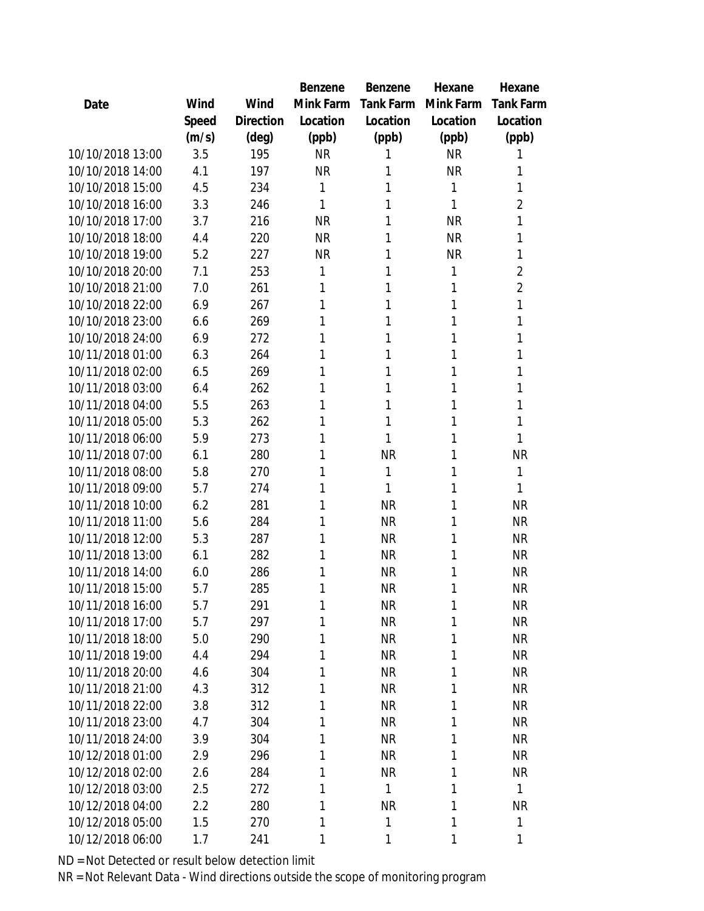|                  |       |                | <b>Benzene</b> | Benzene          | Hexane    | Hexane           |
|------------------|-------|----------------|----------------|------------------|-----------|------------------|
| Date             | Wind  | Wind           | Mink Farm      | <b>Tank Farm</b> | Mink Farm | <b>Tank Farm</b> |
|                  | Speed | Direction      | Location       | Location         | Location  | Location         |
|                  | (m/s) | $(\text{deg})$ | (ppb)          | (ppb)            | (ppb)     | (ppb)            |
| 10/10/2018 13:00 | 3.5   | 195            | <b>NR</b>      | 1                | <b>NR</b> | 1                |
| 10/10/2018 14:00 | 4.1   | 197            | <b>NR</b>      | 1                | <b>NR</b> | 1                |
| 10/10/2018 15:00 | 4.5   | 234            | 1              | 1                | 1         | 1                |
| 10/10/2018 16:00 | 3.3   | 246            | 1              | 1                | 1         | 2                |
| 10/10/2018 17:00 | 3.7   | 216            | <b>NR</b>      | 1                | <b>NR</b> | 1                |
| 10/10/2018 18:00 | 4.4   | 220            | <b>NR</b>      | 1                | <b>NR</b> | 1                |
| 10/10/2018 19:00 | 5.2   | 227            | <b>NR</b>      | 1                | <b>NR</b> | 1                |
| 10/10/2018 20:00 | 7.1   | 253            | 1              | 1                | 1         | $\overline{2}$   |
| 10/10/2018 21:00 | 7.0   | 261            | 1              | 1                | 1         | $\overline{2}$   |
| 10/10/2018 22:00 | 6.9   | 267            | 1              | 1                | 1         | 1                |
| 10/10/2018 23:00 | 6.6   | 269            | 1              | 1                | 1         | 1                |
| 10/10/2018 24:00 | 6.9   | 272            | 1              | 1                | 1         | 1                |
| 10/11/2018 01:00 | 6.3   | 264            | 1              | 1                | 1         | 1                |
| 10/11/2018 02:00 | 6.5   | 269            | 1              | 1                | 1         | 1                |
| 10/11/2018 03:00 | 6.4   | 262            | 1              | 1                | 1         | 1                |
| 10/11/2018 04:00 | 5.5   | 263            | 1              | 1                | 1         | 1                |
| 10/11/2018 05:00 | 5.3   | 262            | 1              | 1                | 1         | 1                |
| 10/11/2018 06:00 | 5.9   | 273            | 1              | 1                | 1         | 1                |
| 10/11/2018 07:00 | 6.1   | 280            | 1              | <b>NR</b>        | 1         | <b>NR</b>        |
| 10/11/2018 08:00 | 5.8   | 270            | 1              | 1                | 1         | 1                |
| 10/11/2018 09:00 | 5.7   | 274            | 1              | 1                | 1         | 1                |
| 10/11/2018 10:00 | 6.2   | 281            | 1              | <b>NR</b>        | 1         | <b>NR</b>        |
| 10/11/2018 11:00 | 5.6   | 284            | 1              | <b>NR</b>        | 1         | <b>NR</b>        |
| 10/11/2018 12:00 | 5.3   | 287            | 1              | <b>NR</b>        | 1         | <b>NR</b>        |
| 10/11/2018 13:00 | 6.1   | 282            | 1              | <b>NR</b>        | 1         | <b>NR</b>        |
| 10/11/2018 14:00 | 6.0   | 286            | 1              | <b>NR</b>        | 1         | <b>NR</b>        |
| 10/11/2018 15:00 | 5.7   | 285            | 1              | <b>NR</b>        | 1         | <b>NR</b>        |
| 10/11/2018 16:00 | 5.7   | 291            | 1              | <b>NR</b>        | 1         | <b>NR</b>        |
| 10/11/2018 17:00 | 5.7   | 297            | 1              | <b>NR</b>        | 1         | <b>NR</b>        |
| 10/11/2018 18:00 | 5.0   | 290            | 1              | <b>NR</b>        | 1         | <b>NR</b>        |
| 10/11/2018 19:00 | 4.4   | 294            | 1              | <b>NR</b>        | 1         | <b>NR</b>        |
| 10/11/2018 20:00 | 4.6   | 304            | 1              | <b>NR</b>        | 1         | <b>NR</b>        |
| 10/11/2018 21:00 | 4.3   | 312            | 1              | <b>NR</b>        | 1         | <b>NR</b>        |
| 10/11/2018 22:00 | 3.8   | 312            | 1              | <b>NR</b>        | 1         | <b>NR</b>        |
| 10/11/2018 23:00 | 4.7   | 304            | 1              | <b>NR</b>        | 1         | <b>NR</b>        |
| 10/11/2018 24:00 | 3.9   | 304            | 1              | <b>NR</b>        | 1         | <b>NR</b>        |
| 10/12/2018 01:00 | 2.9   | 296            | 1              | <b>NR</b>        | 1         | <b>NR</b>        |
| 10/12/2018 02:00 | 2.6   | 284            | 1              | <b>NR</b>        | 1         | <b>NR</b>        |
| 10/12/2018 03:00 | 2.5   | 272            | 1              | 1                | 1         | $\mathbf{1}$     |
| 10/12/2018 04:00 | 2.2   | 280            | 1              | <b>NR</b>        | 1         | NR               |
| 10/12/2018 05:00 | 1.5   | 270            | 1              | 1                | 1         | 1                |
| 10/12/2018 06:00 | 1.7   | 241            | 1              | 1                | 1         | 1                |